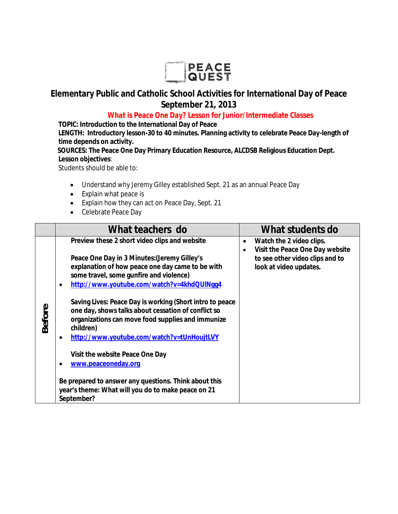

## **Elementary Public and Catholic School Activities for International Day of Peace September 21, 2013**

## *What is Peace One Day?* **Lesson for Junior/Intermediate Classes**

**TOPIC: Introduction to the International Day of Peace**

**LENGTH: Introductory lesson-30 to 40 minutes. Planning activity to celebrate Peace Day-length of time depends on activity.**

 **SOURCES: The Peace One Day Primary Education Resource, ALCDSB Religious Education Dept. Lesson objectives**:

Students should be able to:

- Understand why Jeremy Gilley established Sept. 21 as an annual Peace Day
- Explain what peace is
- Explain how they can act on Peace Day, Sept. 21
- Celebrate Peace Day

|        | What teachers do                                                                                                                                                                                                                                                                                                                                                                                                                                                                                                                                                                                                                                                                                    | What students do                                                                                                                      |
|--------|-----------------------------------------------------------------------------------------------------------------------------------------------------------------------------------------------------------------------------------------------------------------------------------------------------------------------------------------------------------------------------------------------------------------------------------------------------------------------------------------------------------------------------------------------------------------------------------------------------------------------------------------------------------------------------------------------------|---------------------------------------------------------------------------------------------------------------------------------------|
| Before | Preview these 2 short video clips and website<br>Peace One Day in 3 Minutes: (Jeremy Gilley's<br>explanation of how peace one day came to be with<br>some travel, some gunfire and violence)<br>http://www.youtube.com/watch?v=4khdQUINqq4<br>$\bullet$<br>Saving Lives: Peace Day is working (Short intro to peace<br>one day, shows talks about cessation of conflict so<br>organizations can move food supplies and immunize<br>children)<br>http://www.youtube.com/watch?v=tUnHoujtLVY<br>$\bullet$<br>Visit the website Peace One Day<br>www.peaceoneday.org<br>٠<br>Be prepared to answer any questions. Think about this<br>year's theme: What will you do to make peace on 21<br>September? | Watch the 2 video clips.<br>$\bullet$<br>Visit the Peace One Day website<br>to see other video clips and to<br>look at video updates. |